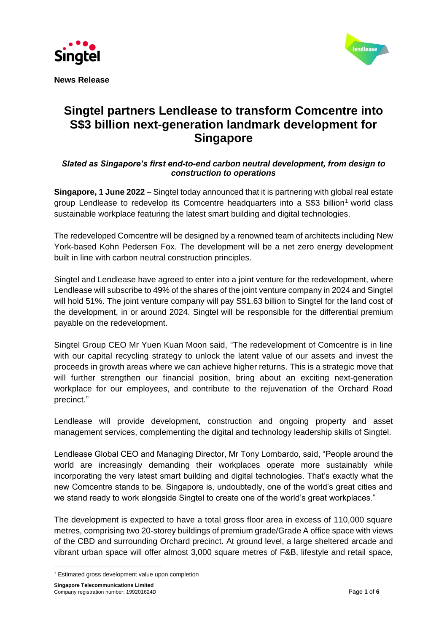



**News Release** 

# **Singtel partners Lendlease to transform Comcentre into S\$3 billion next-generation landmark development for Singapore**

## *Slated as Singapore's first end-to-end carbon neutral development, from design to construction to operations*

**Singapore, 1 June 2022** – Singtel today announced that it is partnering with global real estate group Lendlease to redevelop its Comcentre headquarters into a S\$3 billion<sup>1</sup> world class sustainable workplace featuring the latest smart building and digital technologies.

The redeveloped Comcentre will be designed by a renowned team of architects including New York-based Kohn Pedersen Fox. The development will be a net zero energy development built in line with carbon neutral construction principles.

Singtel and Lendlease have agreed to enter into a joint venture for the redevelopment, where Lendlease will subscribe to 49% of the shares of the joint venture company in 2024 and Singtel will hold 51%. The joint venture company will pay S\$1.63 billion to Singtel for the land cost of the development, in or around 2024. Singtel will be responsible for the differential premium payable on the redevelopment.

Singtel Group CEO Mr Yuen Kuan Moon said, "The redevelopment of Comcentre is in line with our capital recycling strategy to unlock the latent value of our assets and invest the proceeds in growth areas where we can achieve higher returns. This is a strategic move that will further strengthen our financial position, bring about an exciting next-generation workplace for our employees, and contribute to the rejuvenation of the Orchard Road precinct."

Lendlease will provide development, construction and ongoing property and asset management services, complementing the digital and technology leadership skills of Singtel.

Lendlease Global CEO and Managing Director, Mr Tony Lombardo, said, "People around the world are increasingly demanding their workplaces operate more sustainably while incorporating the very latest smart building and digital technologies. That's exactly what the new Comcentre stands to be. Singapore is, undoubtedly, one of the world's great cities and we stand ready to work alongside Singtel to create one of the world's great workplaces."

The development is expected to have a total gross floor area in excess of 110,000 square metres, comprising two 20-storey buildings of premium grade/Grade A office space with views of the CBD and surrounding Orchard precinct. At ground level, a large sheltered arcade and vibrant urban space will offer almost 3,000 square metres of F&B, lifestyle and retail space,

<sup>&</sup>lt;sup>1</sup> Estimated gross development value upon completion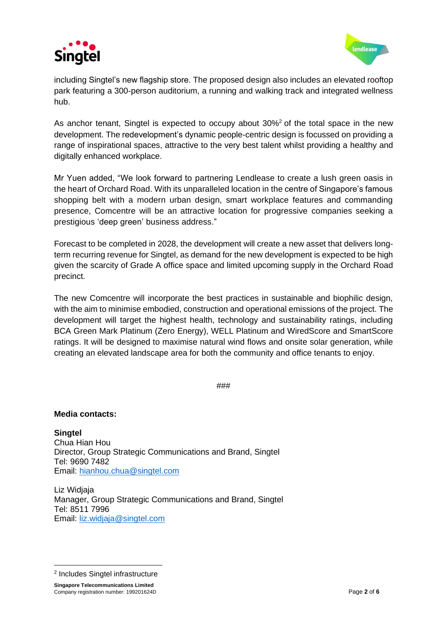



including Singtel's new flagship store. The proposed design also includes an elevated rooftop park featuring a 300-person auditorium, a running and walking track and integrated wellness hub.

As anchor tenant, Singtel is expected to occupy about 30%<sup>2</sup> of the total space in the new development. The redevelopment's dynamic people-centric design is focussed on providing a range of inspirational spaces, attractive to the very best talent whilst providing a healthy and digitally enhanced workplace.

Mr Yuen added, "We look forward to partnering Lendlease to create a lush green oasis in the heart of Orchard Road. With its unparalleled location in the centre of Singapore's famous shopping belt with a modern urban design, smart workplace features and commanding presence, Comcentre will be an attractive location for progressive companies seeking a prestigious 'deep green' business address."

Forecast to be completed in 2028, the development will create a new asset that delivers longterm recurring revenue for Singtel, as demand for the new development is expected to be high given the scarcity of Grade A office space and limited upcoming supply in the Orchard Road precinct.

The new Comcentre will incorporate the best practices in sustainable and biophilic design, with the aim to minimise embodied, construction and operational emissions of the project. The development will target the highest health, technology and sustainability ratings, including BCA Green Mark Platinum (Zero Energy), WELL Platinum and WiredScore and SmartScore ratings. It will be designed to maximise natural wind flows and onsite solar generation, while creating an elevated landscape area for both the community and office tenants to enjoy.

###

## **Media contacts:**

**Singtel** Chua Hian Hou Director, Group Strategic Communications and Brand, Singtel Tel: 9690 7482 Email: [hianhou.chua@singtel.com](mailto:hianhou.chua@singtel.com)

Liz Widjaja Manager, Group Strategic Communications and Brand, Singtel Tel: 8511 7996 Email: [liz.widjaja@singtel.com](mailto:liz.widjaja@singtel.com)

<sup>2</sup> Includes Singtel infrastructure

**Singapore Telecommunications Limited** Company registration number: 199201624D **Page 2** of **6 Page 2** of **6 Page 2** of **6**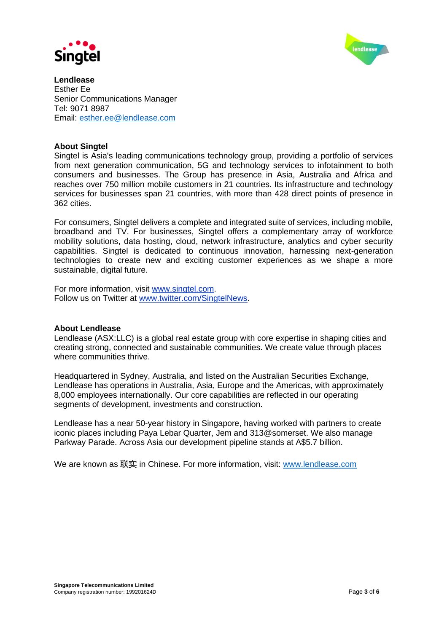



**Lendlease** Esther Ee Senior Communications Manager Tel: 9071 8987 Email: [esther.ee@lendlease.com](mailto:esther.ee@lendlease.com)

## **About Singtel**

Singtel is Asia's leading communications technology group, providing a portfolio of services from next generation communication, 5G and technology services to infotainment to both consumers and businesses. The Group has presence in Asia, Australia and Africa and reaches over 750 million mobile customers in 21 countries. Its infrastructure and technology services for businesses span 21 countries, with more than 428 direct points of presence in 362 cities.

For consumers, Singtel delivers a complete and integrated suite of services, including mobile, broadband and TV. For businesses, Singtel offers a complementary array of workforce mobility solutions, data hosting, cloud, network infrastructure, analytics and cyber security capabilities. Singtel is dedicated to continuous innovation, harnessing next-generation technologies to create new and exciting customer experiences as we shape a more sustainable, digital future.

For more information, visit [www.singtel.com.](http://www.singtel.com/) Follow us on Twitter at [www.twitter.com/SingtelNews.](http://www.twitter.com/SingtelNews)

## **About Lendlease**

Lendlease (ASX:LLC) is a global real estate group with core expertise in shaping cities and creating strong, connected and sustainable communities. We create value through places where communities thrive.

Headquartered in Sydney, Australia, and listed on the Australian Securities Exchange, Lendlease has operations in Australia, Asia, Europe and the Americas, with approximately 8,000 employees internationally. Our core capabilities are reflected in our operating segments of development, investments and construction.

Lendlease has a near 50-year history in Singapore, having worked with partners to create iconic places including Paya Lebar Quarter, Jem and 313@somerset. We also manage Parkway Parade. Across Asia our development pipeline stands at A\$5.7 billion.

We are known as 联实 in Chinese. For more information, visit: [www.lendlease.com](http://www.lendlease.com/)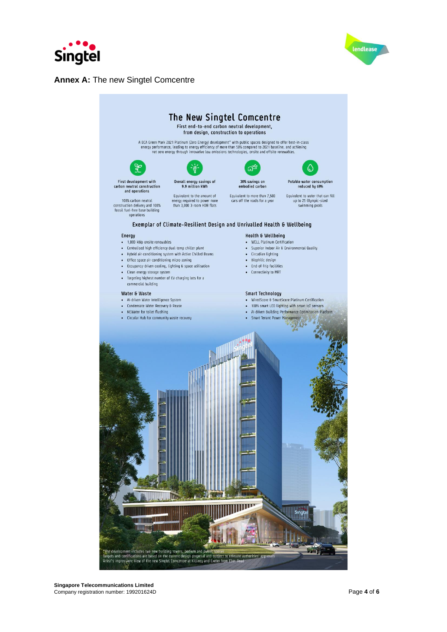



## **Annex A: The new Singtel Comcentre**

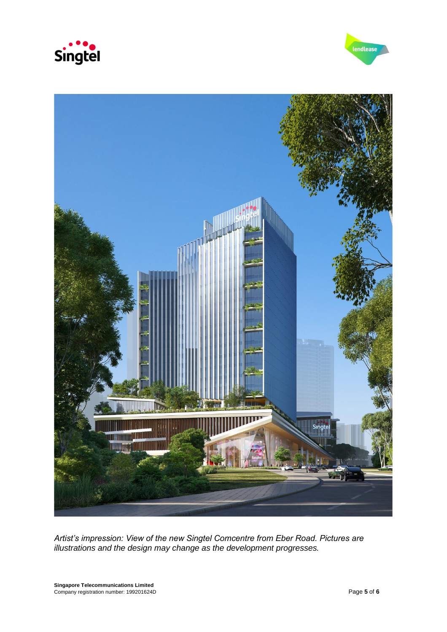





*Artist's impression: View of the new Singtel Comcentre from Eber Road. Pictures are illustrations and the design may change as the development progresses.*